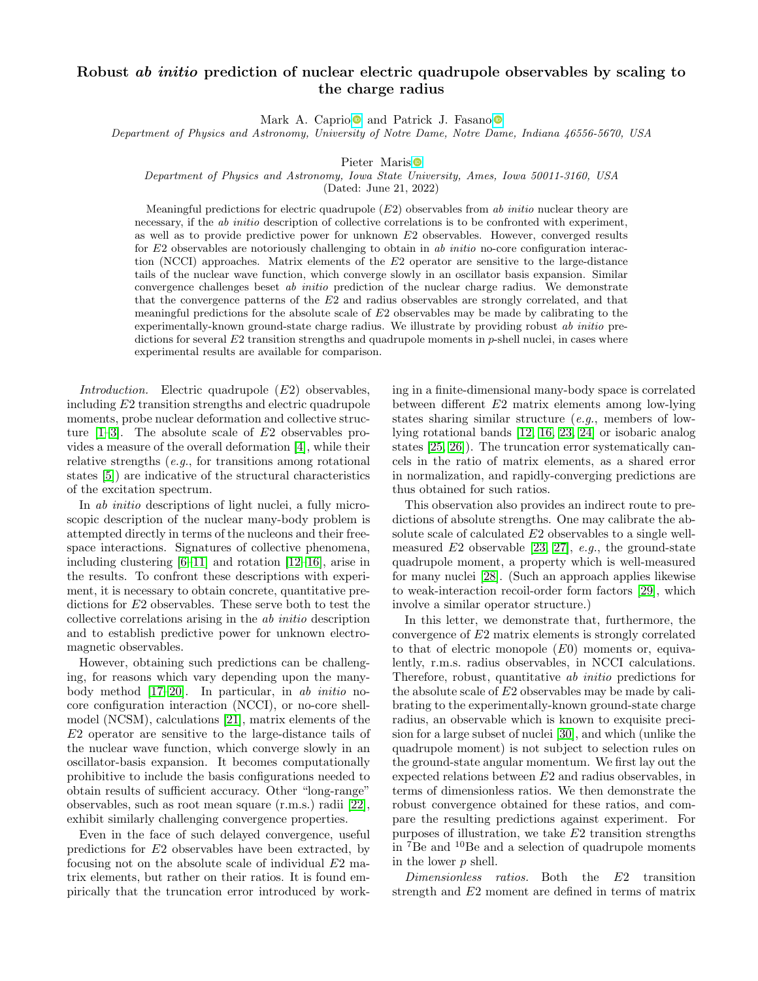## Robust *ab initio* prediction of nuclear electric quadrupole observables by scaling to the charge radius

Mark A. Caprio  $\bullet$  and Patrick J. Fasano  $\bullet$ 

Department of Physics and Astronomy, University of Notre Dame, Notre Dame, Indiana 46556-5670, USA

Pieter Maris<sup>o</sup>

Department of Physics and Astronomy, Iowa State University, Ames, Iowa 50011-3160, USA

(Dated: June 21, 2022)

Meaningful predictions for electric quadrupole  $(E2)$  observables from ab initio nuclear theory are necessary, if the *ab initio* description of collective correlations is to be confronted with experiment, as well as to provide predictive power for unknown  $E2$  observables. However, converged results for  $E_2$  observables are notoriously challenging to obtain in ab *initio* no-core configuration interaction (NCCI) approaches. Matrix elements of the E2 operator are sensitive to the large-distance tails of the nuclear wave function, which converge slowly in an oscillator basis expansion. Similar convergence challenges beset ab initio prediction of the nuclear charge radius. We demonstrate that the convergence patterns of the E2 and radius observables are strongly correlated, and that meaningful predictions for the absolute scale of  $E2$  observables may be made by calibrating to the experimentally-known ground-state charge radius. We illustrate by providing robust ab initio predictions for several  $E2$  transition strengths and quadrupole moments in  $p$ -shell nuclei, in cases where experimental results are available for comparison.

Introduction. Electric quadrupole  $(E2)$  observables, including E2 transition strengths and electric quadrupole moments, probe nuclear deformation and collective structure  $[1-3]$  $[1-3]$ . The absolute scale of  $E2$  observables provides a measure of the overall deformation [\[4\]](#page-4-2), while their relative strengths (e.g., for transitions among rotational states [\[5\]](#page-4-3)) are indicative of the structural characteristics of the excitation spectrum.

In *ab initio* descriptions of light nuclei, a fully microscopic description of the nuclear many-body problem is attempted directly in terms of the nucleons and their freespace interactions. Signatures of collective phenomena, including clustering [\[6–](#page-4-4)[11\]](#page-4-5) and rotation [\[12–](#page-4-6)[16\]](#page-5-0), arise in the results. To confront these descriptions with experiment, it is necessary to obtain concrete, quantitative predictions for E2 observables. These serve both to test the collective correlations arising in the ab initio description and to establish predictive power for unknown electromagnetic observables.

However, obtaining such predictions can be challenging, for reasons which vary depending upon the manybody method [\[17–](#page-5-1)[20\]](#page-5-2). In particular, in ab initio nocore configuration interaction (NCCI), or no-core shellmodel (NCSM), calculations [\[21\]](#page-5-3), matrix elements of the E2 operator are sensitive to the large-distance tails of the nuclear wave function, which converge slowly in an oscillator-basis expansion. It becomes computationally prohibitive to include the basis configurations needed to obtain results of sufficient accuracy. Other "long-range" observables, such as root mean square (r.m.s.) radii [\[22\]](#page-5-4), exhibit similarly challenging convergence properties.

Even in the face of such delayed convergence, useful predictions for E2 observables have been extracted, by focusing not on the absolute scale of individual E2 matrix elements, but rather on their ratios. It is found empirically that the truncation error introduced by working in a finite-dimensional many-body space is correlated between different E2 matrix elements among low-lying states sharing similar structure (e.g., members of lowlying rotational bands [\[12,](#page-4-6) [16,](#page-5-0) [23,](#page-5-5) [24\]](#page-5-6) or isobaric analog states [\[25,](#page-5-7) [26\]](#page-5-8)). The truncation error systematically cancels in the ratio of matrix elements, as a shared error in normalization, and rapidly-converging predictions are thus obtained for such ratios.

This observation also provides an indirect route to predictions of absolute strengths. One may calibrate the absolute scale of calculated E2 observables to a single wellmeasured  $E2$  observable [\[23,](#page-5-5) [27\]](#page-5-9), e.g., the ground-state quadrupole moment, a property which is well-measured for many nuclei [\[28\]](#page-5-10). (Such an approach applies likewise to weak-interaction recoil-order form factors [\[29\]](#page-5-11), which involve a similar operator structure.)

In this letter, we demonstrate that, furthermore, the convergence of E2 matrix elements is strongly correlated to that of electric monopole  $(E0)$  moments or, equivalently, r.m.s. radius observables, in NCCI calculations. Therefore, robust, quantitative ab initio predictions for the absolute scale of E2 observables may be made by calibrating to the experimentally-known ground-state charge radius, an observable which is known to exquisite precision for a large subset of nuclei [\[30\]](#page-5-12), and which (unlike the quadrupole moment) is not subject to selection rules on the ground-state angular momentum. We first lay out the expected relations between E2 and radius observables, in terms of dimensionless ratios. We then demonstrate the robust convergence obtained for these ratios, and compare the resulting predictions against experiment. For purposes of illustration, we take E2 transition strengths in <sup>7</sup>Be and <sup>10</sup>Be and a selection of quadrupole moments in the lower p shell.

Dimensionless ratios. Both the E2 transition strength and E2 moment are defined in terms of matrix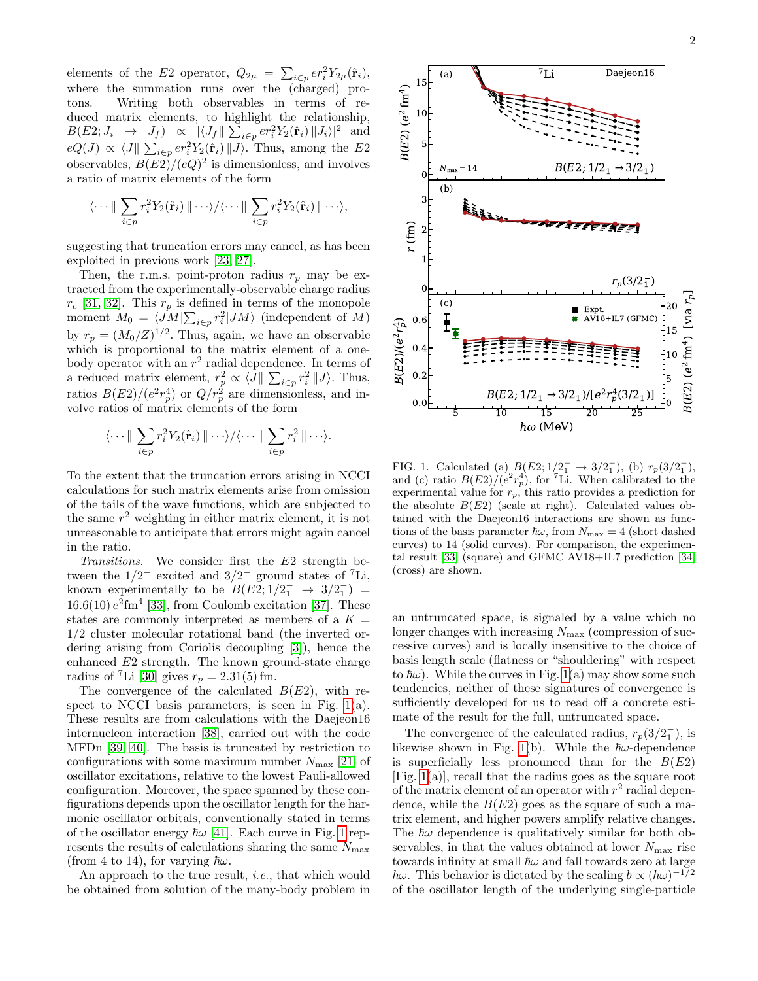elements of the E2 operator,  $Q_{2\mu} = \sum_{i \in p} e r_i^2 Y_{2\mu}(\hat{\mathbf{r}}_i),$ where the summation runs over the (charged) protons. Writing both observables in terms of reduced matrix elements, to highlight the relationship,  $B(E2; J_i \rightarrow J_f) \propto |\langle J_f || \sum_{i \in p} e r_i^2 Y_2(\hat{\mathbf{r}}_i) ||J_i \rangle|^2$  and  $eQ(J) \propto \langle J \Vert \sum_{i \in p} e r_i^2 Y_2(\hat{\mathbf{r}}_i) \Vert J \rangle$ . Thus, among the E2 observables,  $B(E2)/(eQ)^2$  is dimensionless, and involves a ratio of matrix elements of the form

$$
\langle \cdots \| \sum_{i \in p} r_i^2 Y_2(\hat{\mathbf{r}}_i) \| \cdots \rangle / \langle \cdots \| \sum_{i \in p} r_i^2 Y_2(\hat{\mathbf{r}}_i) \| \cdots \rangle,
$$

suggesting that truncation errors may cancel, as has been exploited in previous work [\[23,](#page-5-5) [27\]](#page-5-9).

Then, the r.m.s. point-proton radius  $r_p$  may be extracted from the experimentally-observable charge radius  $r_c$  [\[31,](#page-5-13) [32\]](#page-5-14). This  $r_p$  is defined in terms of the monopole moment  $M_0 = \langle \hat{J}M \vert \sum_{i \in p} r_i^2 \vert J M \rangle$  (independent of M) by  $r_p = (M_0/Z)^{1/2}$ . Thus, again, we have an observable which is proportional to the matrix element of a onebody operator with an  $r^2$  radial dependence. In terms of a reduced matrix element,  $r_p^2 \propto \langle J \rangle \sum_{i \in p} r_i^2 \langle J \rangle$ . Thus, ratios  $B(E2)/(e^2r_p^4)$  or  $Q/r_p^2$  are dimensionless, and involve ratios of matrix elements of the form

$$
\langle \cdots \| \sum_{i \in p} r_i^2 Y_2(\hat{\mathbf{r}}_i) \| \cdots \rangle / \langle \cdots \| \sum_{i \in p} r_i^2 \| \cdots \rangle.
$$

To the extent that the truncation errors arising in NCCI calculations for such matrix elements arise from omission of the tails of the wave functions, which are subjected to the same  $r^2$  weighting in either matrix element, it is not unreasonable to anticipate that errors might again cancel in the ratio.

Transitions. We consider first the E2 strength between the  $1/2^-$  excited and  $3/2^-$  ground states of <sup>7</sup>Li, known experimentally to be  $B(E2; 1/2^-_1 \rightarrow 3/2^-_1)$  =  $16.6(10) e<sup>2</sup> fm<sup>4</sup>$  [\[33\]](#page-5-15), from Coulomb excitation [\[37\]](#page-5-16). These states are commonly interpreted as members of a  $K =$ 1/2 cluster molecular rotational band (the inverted ordering arising from Coriolis decoupling [\[3\]](#page-4-1)), hence the enhanced E2 strength. The known ground-state charge radius of <sup>7</sup>Li [\[30\]](#page-5-12) gives  $r_p = 2.31(5)$  fm.

The convergence of the calculated  $B(E2)$ , with respect to NCCI basis parameters, is seen in Fig.  $1(a)$ . These results are from calculations with the Daejeon16 internucleon interaction [\[38\]](#page-5-17), carried out with the code MFDn [\[39,](#page-5-18) [40\]](#page-5-19). The basis is truncated by restriction to configurations with some maximum number  $N_{\text{max}}$  [\[21\]](#page-5-3) of oscillator excitations, relative to the lowest Pauli-allowed configuration. Moreover, the space spanned by these configurations depends upon the oscillator length for the harmonic oscillator orbitals, conventionally stated in terms of the oscillator energy  $\hbar\omega$  [\[41\]](#page-5-20). Each curve in Fig. [1](#page-1-0) represents the results of calculations sharing the same  $N_{\text{max}}$ (from 4 to 14), for varying  $\hbar\omega$ .

An approach to the true result, i.e., that which would be obtained from solution of the many-body problem in 2



<span id="page-1-0"></span>FIG. 1. Calculated (a)  $B(E2; 1/2^-_1 \rightarrow 3/2^-_1)$ , (b)  $r_p(3/2^-_1)$ , and (c) ratio  $B(E2)/(e^2r_p^4)$ , for <sup>7</sup>Li. When calibrated to the experimental value for  $r_p$ , this ratio provides a prediction for the absolute  $B(E2)$  (scale at right). Calculated values obtained with the Daejeon16 interactions are shown as functions of the basis parameter  $\hbar\omega$ , from  $N_{\text{max}} = 4$  (short dashed curves) to 14 (solid curves). For comparison, the experimental result [\[33\]](#page-5-15) (square) and GFMC AV18+IL7 prediction [\[34\]](#page-5-21) (cross) are shown.

an untruncated space, is signaled by a value which no longer changes with increasing  $N_{\text{max}}$  (compression of successive curves) and is locally insensitive to the choice of basis length scale (flatness or "shouldering" with respect to  $\hbar\omega$ ). While the curves in Fig. [1\(](#page-1-0)a) may show some such tendencies, neither of these signatures of convergence is sufficiently developed for us to read off a concrete estimate of the result for the full, untruncated space.

The convergence of the calculated radius,  $r_p(3/2_1^-)$ , is likewise shown in Fig. [1\(](#page-1-0)b). While the  $\hbar\omega$ -dependence is superficially less pronounced than for the  $B(E2)$ [Fig. [1\(](#page-1-0)a)], recall that the radius goes as the square root of the matrix element of an operator with  $r^2$  radial dependence, while the  $B(E2)$  goes as the square of such a matrix element, and higher powers amplify relative changes. The  $\hbar\omega$  dependence is qualitatively similar for both observables, in that the values obtained at lower  $N_{\text{max}}$  rise towards infinity at small  $\hbar\omega$  and fall towards zero at large  $\hbar\omega$ . This behavior is dictated by the scaling  $b \propto (\hbar\omega)^{-1/2}$ of the oscillator length of the underlying single-particle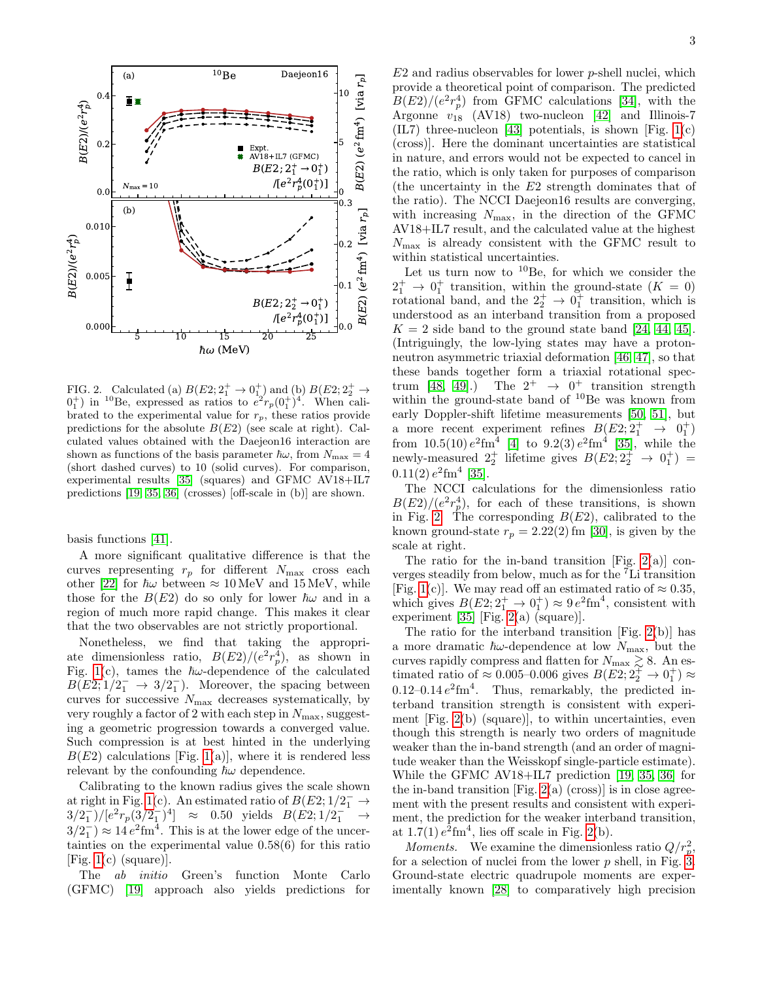

<span id="page-2-0"></span>FIG. 2. Calculated (a)  $B(E2; 2^+_1 \rightarrow 0^+_1)$  and (b)  $B(E2; 2^+_2 \rightarrow 0^+_2)$  $0<sub>1</sub><sup>+</sup>$  in <sup>10</sup>Be, expressed as ratios to  $e<sup>2</sup>r<sub>p</sub>(0<sub>1</sub><sup>+</sup>)<sup>4</sup>$ . When calibrated to the experimental value for  $r_p$ , these ratios provide predictions for the absolute  $B(E2)$  (see scale at right). Calculated values obtained with the Daejeon16 interaction are shown as functions of the basis parameter  $\hbar\omega$ , from  $N_{\text{max}} = 4$ (short dashed curves) to 10 (solid curves). For comparison, experimental results [\[35\]](#page-5-22) (squares) and GFMC AV18+IL7 predictions [\[19,](#page-5-23) [35,](#page-5-22) [36\]](#page-5-24) (crosses) [off-scale in (b)] are shown.

basis functions [\[41\]](#page-5-20).

A more significant qualitative difference is that the curves representing  $r_p$  for different  $N_{\text{max}}$  cross each other [\[22\]](#page-5-4) for  $\hbar\omega$  between  $\approx 10 \,\text{MeV}$  and 15 MeV, while those for the  $B(E2)$  do so only for lower  $\hbar\omega$  and in a region of much more rapid change. This makes it clear that the two observables are not strictly proportional.

Nonetheless, we find that taking the appropriate dimensionless ratio,  $B(E2)/(e^2r_p^4)$ , as shown in Fig. [1\(](#page-1-0)c), tames the  $\hbar\omega$ -dependence of the calculated  $B(E2;1/2<sub>1</sub><sup>-</sup> \rightarrow 3/2<sub>1</sub><sup>-</sup>).$  Moreover, the spacing between curves for successive  $N_{\text{max}}$  decreases systematically, by very roughly a factor of 2 with each step in  $N_{\text{max}}$ , suggesting a geometric progression towards a converged value. Such compression is at best hinted in the underlying  $B(E2)$  calculations [Fig. [1\(](#page-1-0)a)], where it is rendered less relevant by the confounding  $\hbar\omega$  dependence.

Calibrating to the known radius gives the scale shown at right in Fig. [1\(](#page-1-0)c). An estimated ratio of  $B(E2; 1/2<sub>1</sub>^- \rightarrow$  $3/2_1^-)/[e^2r_p(3/2_1^-)^4] \approx 0.50$  yields  $B(E_2; 1/2_1^- \rightarrow$  $3/2_1^ \approx 14 e^2$  fm<sup>4</sup>. This is at the lower edge of the uncertainties on the experimental value 0.58(6) for this ratio [Fig.  $1(c)$  (square)].

The ab initio Green's function Monte Carlo (GFMC) [\[19\]](#page-5-23) approach also yields predictions for

 $E2$  and radius observables for lower  $p$ -shell nuclei, which provide a theoretical point of comparison. The predicted  $B(E2)/(e^2r_p^4)$  from GFMC calculations [\[34\]](#page-5-21), with the Argonne  $v_{18}$  (AV18) two-nucleon [\[42\]](#page-5-25) and Illinois-7  $(IL7)$  three-nucleon [\[43\]](#page-5-26) potentials, is shown [Fig. [1\(](#page-1-0)c) (cross)]. Here the dominant uncertainties are statistical in nature, and errors would not be expected to cancel in the ratio, which is only taken for purposes of comparison (the uncertainty in the E2 strength dominates that of the ratio). The NCCI Daejeon16 results are converging, with increasing  $N_{\text{max}}$ , in the direction of the GFMC AV18+IL7 result, and the calculated value at the highest  $N_{\text{max}}$  is already consistent with the GFMC result to within statistical uncertainties.

Let us turn now to  $^{10}$ Be, for which we consider the  $2_1^+$   $\rightarrow$  0<sup>+</sup> transition, within the ground-state ( $K = 0$ ) rotational band, and the  $2^+_2 \rightarrow 0^+_1$  transition, which is understood as an interband transition from a proposed  $K = 2$  side band to the ground state band [\[24,](#page-5-6) [44,](#page-5-27) [45\]](#page-5-28). (Intriguingly, the low-lying states may have a protonneutron asymmetric triaxial deformation [\[46,](#page-5-29) [47\]](#page-5-30), so that these bands together form a triaxial rotational spec-trum [\[48,](#page-6-0) [49\]](#page-6-1).) The  $2^+ \rightarrow 0^+$  transition strength within the ground-state band of  ${}^{10}$ Be was known from early Doppler-shift lifetime measurements [\[50,](#page-6-2) [51\]](#page-6-3), but a more recent experiment refines  $B(E2, 2^+_1 \rightarrow 0^+_1)$ from  $10.5(10) e^{2}$ fm<sup>4</sup> [\[4\]](#page-4-2) to  $9.2(3) e^{2}$ fm<sup>4</sup> [\[35\]](#page-5-22), while the newly-measured  $2^+_2$  lifetime gives  $B(E2; 2^+_2 \rightarrow 0^+_1)$  =  $0.11(2) e^{2} \text{fm}^{4}$  [\[35\]](#page-5-22).

The NCCI calculations for the dimensionless ratio  $B(E2)/(e^2r_p^4)$ , for each of these transitions, is shown in Fig. [2.](#page-2-0) The corresponding  $B(E2)$ , calibrated to the known ground-state  $r_p = 2.22(2)$  fm [\[30\]](#page-5-12), is given by the scale at right.

The ratio for the in-band transition [Fig.  $2(a)$ ] converges steadily from below, much as for the <sup>7</sup>Li transition [Fig. [1\(](#page-1-0)c)]. We may read off an estimated ratio of  $\approx 0.35$ , which gives  $B(E2, 2^+_1 \rightarrow 0^+_1) \approx 9 e^2 \text{fm}^4$ , consistent with experiment [\[35\]](#page-5-22) [Fig. [2\(](#page-2-0)a) (square)].

The ratio for the interband transition [Fig. [2\(](#page-2-0)b)] has a more dramatic  $\hbar\omega$ -dependence at low  $N_{\text{max}}$ , but the curves rapidly compress and flatten for  $N_{\text{max}} \gtrsim 8$ . An estimated ratio of  $\approx 0.005{\text -}0.006$  gives  $B(E2; 2_2^+ \rightarrow 0_1^+) \approx$ 0.12–0.14 $e^2$ fm<sup>4</sup>. Thus, remarkably, the predicted interband transition strength is consistent with experiment [Fig. [2\(](#page-2-0)b) (square)], to within uncertainties, even though this strength is nearly two orders of magnitude weaker than the in-band strength (and an order of magnitude weaker than the Weisskopf single-particle estimate). While the GFMC AV18+IL7 prediction [\[19,](#page-5-23) [35,](#page-5-22) [36\]](#page-5-24) for the in-band transition  $[Fig. 2(a) (cross)]$  $[Fig. 2(a) (cross)]$  $[Fig. 2(a) (cross)]$  is in close agreement with the present results and consistent with experiment, the prediction for the weaker interband transition, at  $1.7(1) e^{\hat{2}}$  fm<sup>4</sup>, lies off scale in Fig. [2\(](#page-2-0)b).

*Moments.* We examine the dimensionless ratio  $Q/r_p^2$ , for a selection of nuclei from the lower  $p$  shell, in Fig. [3.](#page-3-0) Ground-state electric quadrupole moments are experimentally known [\[28\]](#page-5-10) to comparatively high precision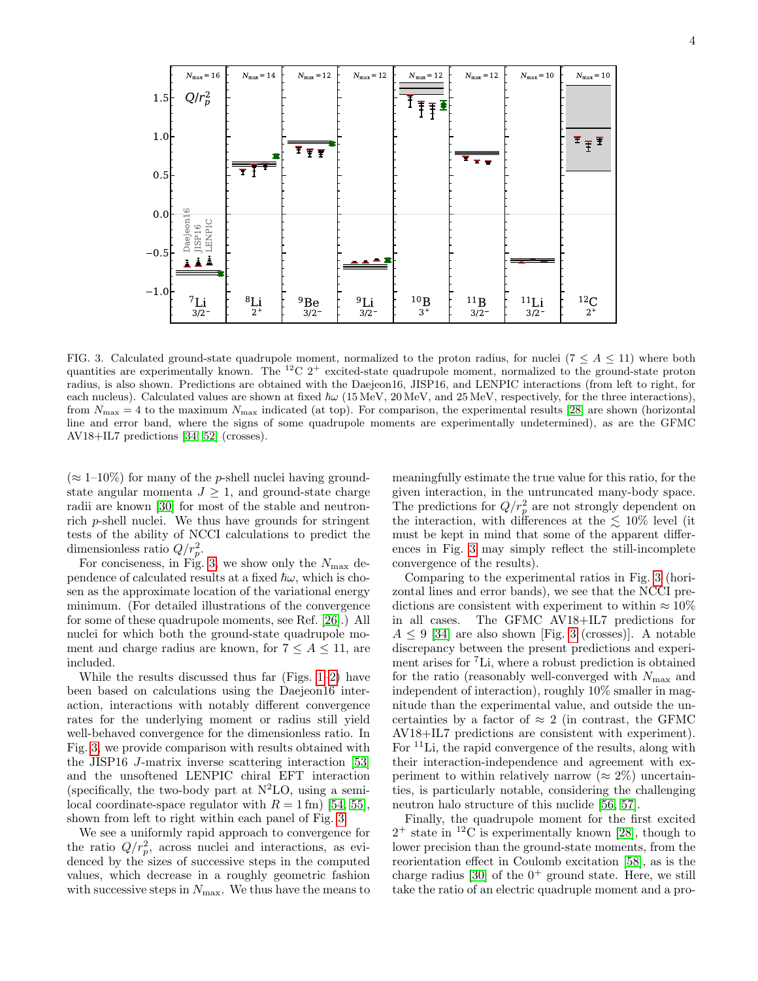

<span id="page-3-0"></span>FIG. 3. Calculated ground-state quadrupole moment, normalized to the proton radius, for nuclei ( $7 \leq A \leq 11$ ) where both quantities are experimentally known. The  ${}^{12}C$  2<sup>+</sup> excited-state quadrupole moment, normalized to the ground-state proton radius, is also shown. Predictions are obtained with the Daejeon16, JISP16, and LENPIC interactions (from left to right, for each nucleus). Calculated values are shown at fixed  $\hbar\omega$  (15 MeV, 20 MeV, and 25 MeV, respectively, for the three interactions), from  $N_{\text{max}} = 4$  to the maximum  $N_{\text{max}}$  indicated (at top). For comparison, the experimental results [\[28\]](#page-5-10) are shown (horizontal line and error band, where the signs of some quadrupole moments are experimentally undetermined), as are the GFMC AV18+IL7 predictions [\[34,](#page-5-21) [52\]](#page-6-4) (crosses).

 $(\approx 1-10\%)$  for many of the *p*-shell nuclei having groundstate angular momenta  $J \geq 1$ , and ground-state charge radii are known [\[30\]](#page-5-12) for most of the stable and neutronrich p-shell nuclei. We thus have grounds for stringent tests of the ability of NCCI calculations to predict the dimensionless ratio  $Q/r_p^2$ .

For conciseness, in Fig. [3,](#page-3-0) we show only the  $N_{\text{max}}$  dependence of calculated results at a fixed  $\hbar\omega$ , which is chosen as the approximate location of the variational energy minimum. (For detailed illustrations of the convergence for some of these quadrupole moments, see Ref. [\[26\]](#page-5-8).) All nuclei for which both the ground-state quadrupole moment and charge radius are known, for  $7 \leq A \leq 11$ , are included.

While the results discussed thus far (Figs.  $1-2$ ) have been based on calculations using the Daejeon16 interaction, interactions with notably different convergence rates for the underlying moment or radius still yield well-behaved convergence for the dimensionless ratio. In Fig. [3,](#page-3-0) we provide comparison with results obtained with the JISP16 J-matrix inverse scattering interaction [\[53\]](#page-6-5) and the unsoftened LENPIC chiral EFT interaction (specifically, the two-body part at  $N^2LO$ , using a semilocal coordinate-space regulator with  $R = 1$  fm) [\[54,](#page-6-6) [55\]](#page-6-7). shown from left to right within each panel of Fig. [3.](#page-3-0)

We see a uniformly rapid approach to convergence for the ratio  $Q/r_p^2$ , across nuclei and interactions, as evidenced by the sizes of successive steps in the computed values, which decrease in a roughly geometric fashion with successive steps in  $N_{\text{max}}$ . We thus have the means to meaningfully estimate the true value for this ratio, for the given interaction, in the untruncated many-body space. The predictions for  $Q/r_p^2$  are not strongly dependent on the interaction, with differences at the  $\lesssim 10\%$  level (it must be kept in mind that some of the apparent differences in Fig. [3](#page-3-0) may simply reflect the still-incomplete convergence of the results).

Comparing to the experimental ratios in Fig. [3](#page-3-0) (horizontal lines and error bands), we see that the NCCI predictions are consistent with experiment to within  $\approx 10\%$ in all cases. The GFMC AV18+IL7 predictions for  $A \leq 9$  [\[34\]](#page-5-21) are also shown [Fig. [3](#page-3-0) (crosses)]. A notable discrepancy between the present predictions and experiment arises for <sup>7</sup>Li, where a robust prediction is obtained for the ratio (reasonably well-converged with  $N_{\text{max}}$  and independent of interaction), roughly 10% smaller in magnitude than the experimental value, and outside the uncertainties by a factor of  $\approx 2$  (in contrast, the GFMC AV18+IL7 predictions are consistent with experiment). For <sup>11</sup>Li, the rapid convergence of the results, along with their interaction-independence and agreement with experiment to within relatively narrow ( $\approx 2\%$ ) uncertainties, is particularly notable, considering the challenging neutron halo structure of this nuclide [\[56,](#page-6-8) [57\]](#page-6-9).

Finally, the quadrupole moment for the first excited  $2^+$  state in <sup>12</sup>C is experimentally known [\[28\]](#page-5-10), though to lower precision than the ground-state moments, from the reorientation effect in Coulomb excitation [\[58\]](#page-6-10), as is the charge radius [\[30\]](#page-5-12) of the  $0^+$  ground state. Here, we still take the ratio of an electric quadruple moment and a pro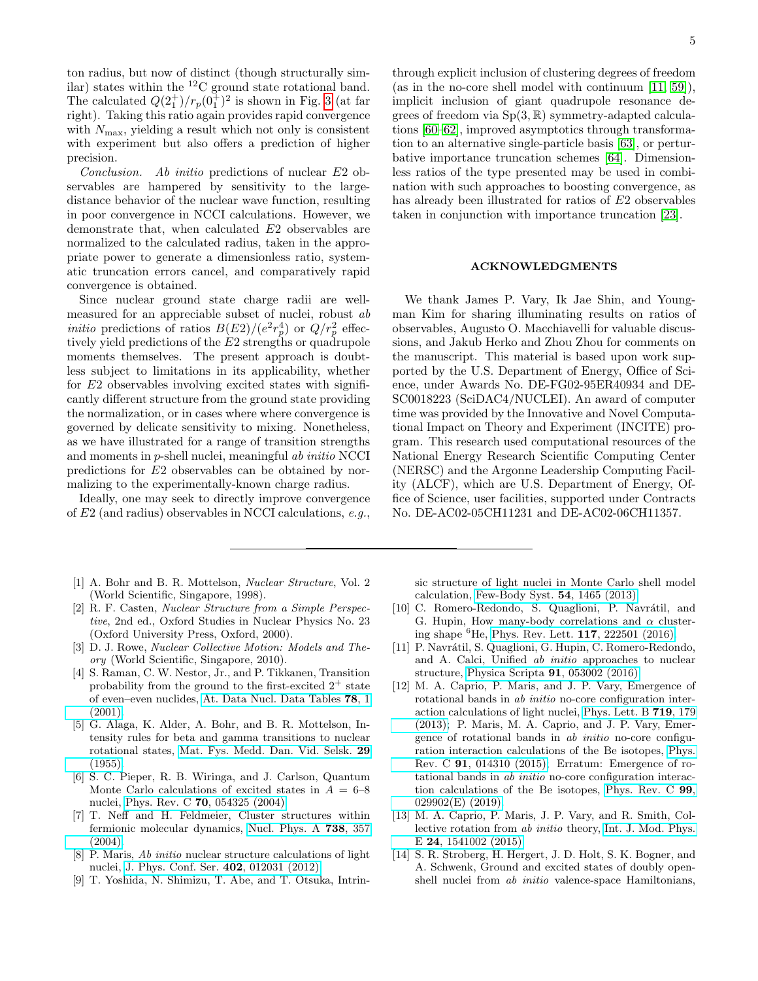ton radius, but now of distinct (though structurally similar) states within the  ${}^{12}$ C ground state rotational band. The calculated  $Q(2^+_1)/r_p(0^+_1)^2$  is shown in Fig. [3](#page-3-0) (at far right). Taking this ratio again provides rapid convergence with  $N_{\text{max}}$ , yielding a result which not only is consistent with experiment but also offers a prediction of higher precision.

Conclusion. Ab initio predictions of nuclear E2 observables are hampered by sensitivity to the largedistance behavior of the nuclear wave function, resulting in poor convergence in NCCI calculations. However, we demonstrate that, when calculated E2 observables are normalized to the calculated radius, taken in the appropriate power to generate a dimensionless ratio, systematic truncation errors cancel, and comparatively rapid convergence is obtained.

Since nuclear ground state charge radii are wellmeasured for an appreciable subset of nuclei, robust ab *initio* predictions of ratios  $B(E2)/(e^2r_p^4)$  or  $Q/r_p^2$  effectively yield predictions of the E2 strengths or quadrupole moments themselves. The present approach is doubtless subject to limitations in its applicability, whether for E2 observables involving excited states with significantly different structure from the ground state providing the normalization, or in cases where where convergence is governed by delicate sensitivity to mixing. Nonetheless, as we have illustrated for a range of transition strengths and moments in p-shell nuclei, meaningful ab initio NCCI predictions for E2 observables can be obtained by normalizing to the experimentally-known charge radius.

Ideally, one may seek to directly improve convergence of E2 (and radius) observables in NCCI calculations, e.g.,

- <span id="page-4-0"></span>[1] A. Bohr and B. R. Mottelson, Nuclear Structure, Vol. 2 (World Scientific, Singapore, 1998).
- [2] R. F. Casten, Nuclear Structure from a Simple Perspective, 2nd ed., Oxford Studies in Nuclear Physics No. 23 (Oxford University Press, Oxford, 2000).
- <span id="page-4-1"></span>[3] D. J. Rowe, *Nuclear Collective Motion: Models and The*ory (World Scientific, Singapore, 2010).
- <span id="page-4-2"></span>[4] S. Raman, C. W. Nestor, Jr., and P. Tikkanen, Transition probability from the ground to the first-excited  $2^+$  state of even–even nuclides, [At. Data Nucl. Data Tables](https://doi.org/10.1006/adnd.2001.0858) 78, 1 [\(2001\).](https://doi.org/10.1006/adnd.2001.0858)
- <span id="page-4-3"></span>[5] G. Alaga, K. Alder, A. Bohr, and B. R. Mottelson, Intensity rules for beta and gamma transitions to nuclear rotational states, [Mat. Fys. Medd. Dan. Vid. Selsk.](http://gymarkiv.sdu.dk/MFM/kdvs/mfm%2020-29/mfm-29-9.pdf) 29 [\(1955\).](http://gymarkiv.sdu.dk/MFM/kdvs/mfm%2020-29/mfm-29-9.pdf)
- <span id="page-4-4"></span>[6] S. C. Pieper, R. B. Wiringa, and J. Carlson, Quantum Monte Carlo calculations of excited states in  $A = 6-8$ nuclei, Phys. Rev. C 70[, 054325 \(2004\).](https://doi.org/10.1103/PhysRevC.70.054325)
- [7] T. Neff and H. Feldmeier, Cluster structures within fermionic molecular dynamics, [Nucl. Phys. A](https://doi.org/10.1016/j.nuclphysa.2004.04.061) 738, 357  $(2004).$
- [8] P. Maris, Ab initio nuclear structure calculations of light nuclei, [J. Phys. Conf. Ser.](https://doi.org/10.1088/1742-6596/402/1/012031) 402, 012031 (2012).
- [9] T. Yoshida, N. Shimizu, T. Abe, and T. Otsuka, Intrin-

through explicit inclusion of clustering degrees of freedom (as in the no-core shell model with continuum [\[11,](#page-4-5) [59\]](#page-6-11)), implicit inclusion of giant quadrupole resonance degrees of freedom via  $Sp(3, \mathbb{R})$  symmetry-adapted calculations [\[60–](#page-6-12)[62\]](#page-6-13), improved asymptotics through transformation to an alternative single-particle basis [\[63\]](#page-6-14), or perturbative importance truncation schemes [\[64\]](#page-6-15). Dimensionless ratios of the type presented may be used in combination with such approaches to boosting convergence, as has already been illustrated for ratios of E2 observables taken in conjunction with importance truncation [\[23\]](#page-5-5).

## ACKNOWLEDGMENTS

We thank James P. Vary, Ik Jae Shin, and Youngman Kim for sharing illuminating results on ratios of observables, Augusto O. Macchiavelli for valuable discussions, and Jakub Herko and Zhou Zhou for comments on the manuscript. This material is based upon work supported by the U.S. Department of Energy, Office of Science, under Awards No. DE-FG02-95ER40934 and DE-SC0018223 (SciDAC4/NUCLEI). An award of computer time was provided by the Innovative and Novel Computational Impact on Theory and Experiment (INCITE) program. This research used computational resources of the National Energy Research Scientific Computing Center (NERSC) and the Argonne Leadership Computing Facility (ALCF), which are U.S. Department of Energy, Office of Science, user facilities, supported under Contracts No. DE-AC02-05CH11231 and DE-AC02-06CH11357.

sic structure of light nuclei in Monte Carlo shell model calculation, [Few-Body Syst.](https://doi.org/10.1007/s00601-013-0680-7) 54, 1465 (2013).

- [10] C. Romero-Redondo, S. Quaglioni, P. Navrátil, and G. Hupin, How many-body correlations and  $\alpha$  clustering shape <sup>6</sup>He, [Phys. Rev. Lett.](https://doi.org/10.1103/PhysRevLett.117.222501) 117, 222501 (2016).
- <span id="page-4-5"></span>[11] P. Navrátil, S. Quaglioni, G. Hupin, C. Romero-Redondo, and A. Calci, Unified ab initio approaches to nuclear structure, [Physica Scripta](https://doi.org/10.1088/0031-8949/91/5/053002) 91, 053002 (2016).
- <span id="page-4-6"></span>[12] M. A. Caprio, P. Maris, and J. P. Vary, Emergence of rotational bands in ab initio no-core configuration interaction calculations of light nuclei, [Phys. Lett. B](https://doi.org/10.1016/j.physletb.2012.12.064) 719, 179 [\(2013\);](https://doi.org/10.1016/j.physletb.2012.12.064) P. Maris, M. A. Caprio, and J. P. Vary, Emergence of rotational bands in ab initio no-core configuration interaction calculations of the Be isotopes, [Phys.](https://doi.org/10.1103/PhysRevC.91.014310) Rev. C 91[, 014310 \(2015\);](https://doi.org/10.1103/PhysRevC.91.014310) Erratum: Emergence of rotational bands in ab initio no-core configuration interaction calculations of the Be isotopes, [Phys. Rev. C](https://doi.org/10.1103/PhysRevC.99.029902) 99, [029902\(E\) \(2019\).](https://doi.org/10.1103/PhysRevC.99.029902)
- [13] M. A. Caprio, P. Maris, J. P. Vary, and R. Smith, Collective rotation from ab initio theory, [Int. J. Mod. Phys.](https://doi.org/10.1142/S0218301315410025) E 24[, 1541002 \(2015\).](https://doi.org/10.1142/S0218301315410025)
- [14] S. R. Stroberg, H. Hergert, J. D. Holt, S. K. Bogner, and A. Schwenk, Ground and excited states of doubly openshell nuclei from ab initio valence-space Hamiltonians,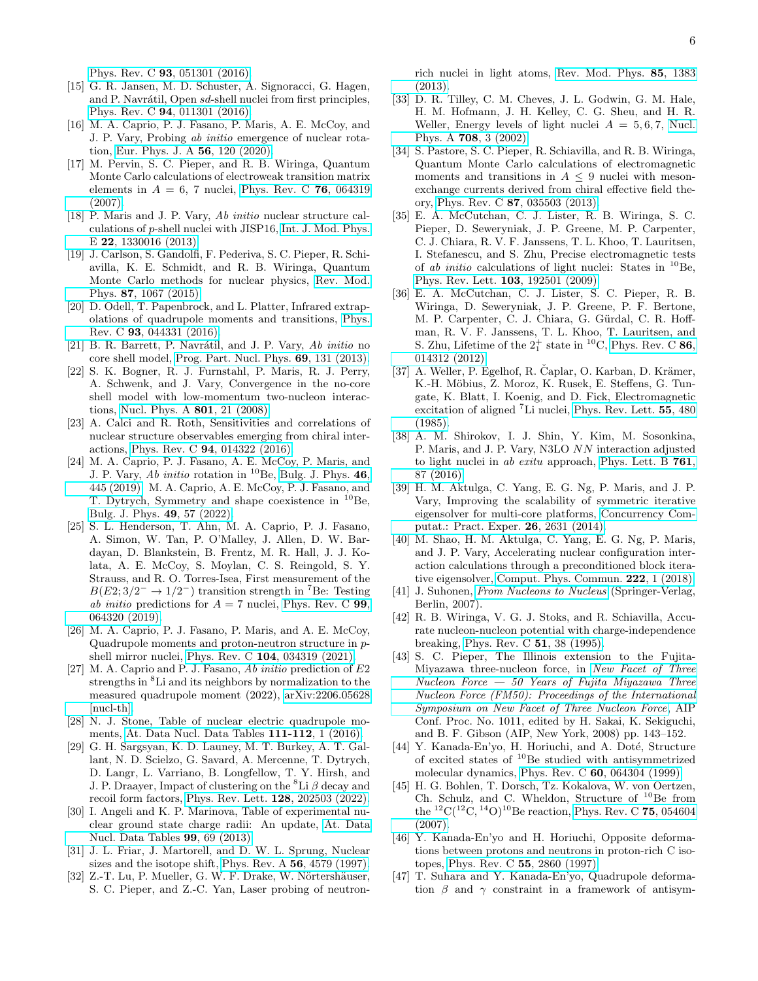Phys. Rev. C 93[, 051301 \(2016\).](https://doi.org/10.1103/PhysRevC.93.051301)

- [15] G. R. Jansen, M. D. Schuster, A. Signoracci, G. Hagen, and P. Navrátil, Open sd-shell nuclei from first principles, Phys. Rev. C 94[, 011301 \(2016\).](https://doi.org/10.1103/PhysRevC.94.011301)
- <span id="page-5-0"></span>[16] M. A. Caprio, P. J. Fasano, P. Maris, A. E. McCoy, and J. P. Vary, Probing ab initio emergence of nuclear rotation, [Eur. Phys. J. A](https://doi.org/10.1140/epja/s10050-020-00112-0) 56, 120 (2020).
- <span id="page-5-1"></span>[17] M. Pervin, S. C. Pieper, and R. B. Wiringa, Quantum Monte Carlo calculations of electroweak transition matrix elements in  $A = 6$ , 7 nuclei, [Phys. Rev. C](https://doi.org/10.1103/PhysRevC.76.064319) 76, 064319 [\(2007\).](https://doi.org/10.1103/PhysRevC.76.064319)
- [18] P. Maris and J. P. Vary, Ab initio nuclear structure calculations of p-shell nuclei with JISP16, [Int. J. Mod. Phys.](https://doi.org/10.1142/S0218301313300166) E 22[, 1330016 \(2013\).](https://doi.org/10.1142/S0218301313300166)
- <span id="page-5-23"></span>[19] J. Carlson, S. Gandolfi, F. Pederiva, S. C. Pieper, R. Schiavilla, K. E. Schmidt, and R. B. Wiringa, Quantum Monte Carlo methods for nuclear physics, [Rev. Mod.](https://doi.org/10.1103/RevModPhys.87.1067) Phys. 87[, 1067 \(2015\).](https://doi.org/10.1103/RevModPhys.87.1067)
- <span id="page-5-2"></span>[20] D. Odell, T. Papenbrock, and L. Platter, Infrared extrapolations of quadrupole moments and transitions, [Phys.](https://doi.org/10.1103/PhysRevC.93.044331) Rev. C 93[, 044331 \(2016\).](https://doi.org/10.1103/PhysRevC.93.044331)
- <span id="page-5-3"></span>[21] B. R. Barrett, P. Navrátil, and J. P. Vary,  $Ab$  initio no core shell model, [Prog. Part. Nucl. Phys.](https://doi.org/10.1016/j.ppnp.2012.10.003) 69, 131 (2013).
- <span id="page-5-4"></span>[22] S. K. Bogner, R. J. Furnstahl, P. Maris, R. J. Perry, A. Schwenk, and J. Vary, Convergence in the no-core shell model with low-momentum two-nucleon interactions, [Nucl. Phys. A](https://doi.org/10.1016/j.nuclphysa.2007.12.008) 801, 21 (2008).
- <span id="page-5-5"></span>[23] A. Calci and R. Roth, Sensitivities and correlations of nuclear structure observables emerging from chiral interactions, Phys. Rev. C 94[, 014322 \(2016\).](https://doi.org/10.1103/PhysRevC.94.014322)
- <span id="page-5-6"></span>[24] M. A. Caprio, P. J. Fasano, A. E. McCoy, P. Maris, and J. P. Vary, Ab initio rotation in <sup>10</sup>Be, [Bulg. J. Phys.](https://www.bjp-bg.com/paper.php?id=1208) **46**, [445 \(2019\);](https://www.bjp-bg.com/paper.php?id=1208) M. A. Caprio, A. E. McCoy, P. J. Fasano, and T. Dytrych, Symmetry and shape coexistence in  $^{10}$ Be, [Bulg. J. Phys.](https://doi.org/10.55318/bgjp.2022.49.1.057) 49, 57 (2022).
- <span id="page-5-7"></span>[25] S. L. Henderson, T. Ahn, M. A. Caprio, P. J. Fasano, A. Simon, W. Tan, P. O'Malley, J. Allen, D. W. Bardayan, D. Blankstein, B. Frentz, M. R. Hall, J. J. Kolata, A. E. McCoy, S. Moylan, C. S. Reingold, S. Y. Strauss, and R. O. Torres-Isea, First measurement of the  $B(E2; 3/2^- \rightarrow 1/2^-)$  transition strength in <sup>7</sup>Be: Testing ab initio predictions for  $A = 7$  nuclei, [Phys. Rev. C](https://doi.org/10.1103/PhysRevC.99.064320) 99, [064320 \(2019\).](https://doi.org/10.1103/PhysRevC.99.064320)
- <span id="page-5-8"></span>[26] M. A. Caprio, P. J. Fasano, P. Maris, and A. E. McCoy, Quadrupole moments and proton-neutron structure in pshell mirror nuclei, Phys. Rev. C 104[, 034319 \(2021\).](https://doi.org/10.1103/PhysRevC.104.034319)
- <span id="page-5-9"></span>[27] M. A. Caprio and P. J. Fasano,  $Ab$  initio prediction of  $E2$ strengths in <sup>8</sup>Li and its neighbors by normalization to the measured quadrupole moment (2022), [arXiv:2206.05628](https://arxiv.org/abs/2206.05628) [\[nucl-th\].](https://arxiv.org/abs/2206.05628)
- <span id="page-5-10"></span>[28] N. J. Stone, Table of nuclear electric quadrupole moments, [At. Data Nucl. Data Tables](https://doi.org/10.1016/j.adt.2015.12.002) 111-112, 1 (2016).
- <span id="page-5-11"></span>[29] G. H. Sargsyan, K. D. Launey, M. T. Burkey, A. T. Gallant, N. D. Scielzo, G. Savard, A. Mercenne, T. Dytrych, D. Langr, L. Varriano, B. Longfellow, T. Y. Hirsh, and J. P. Draayer, Impact of clustering on the <sup>8</sup>Li  $\beta$  decay and recoil form factors, [Phys. Rev. Lett.](https://doi.org/10.1103/PhysRevLett.128.202503) 128, 202503 (2022).
- <span id="page-5-12"></span>[30] I. Angeli and K. P. Marinova, Table of experimental nuclear ground state charge radii: An update, [At. Data](https://doi.org/10.1016/j.adt.2011.12.006) [Nucl. Data Tables](https://doi.org/10.1016/j.adt.2011.12.006) 99, 69 (2013).
- <span id="page-5-13"></span>[31] J. L. Friar, J. Martorell, and D. W. L. Sprung, Nuclear sizes and the isotope shift, [Phys. Rev. A](https://doi.org/10.1103/PhysRevA.56.4579) 56, 4579 (1997).
- <span id="page-5-14"></span>[32] Z.-T. Lu, P. Mueller, G. W. F. Drake, W. Nörtershäuser, S. C. Pieper, and Z.-C. Yan, Laser probing of neutron-

rich nuclei in light atoms, [Rev. Mod. Phys.](https://doi.org/10.1103/RevModPhys.85.1383) 85, 1383 [\(2013\).](https://doi.org/10.1103/RevModPhys.85.1383)

- <span id="page-5-15"></span>[33] D. R. Tilley, C. M. Cheves, J. L. Godwin, G. M. Hale, H. M. Hofmann, J. H. Kelley, C. G. Sheu, and H. R. Weller, Energy levels of light nuclei  $A = 5, 6, 7$ , [Nucl.](https://doi.org/10.1016/S0375-9474(02)00597-3) Phys. A 708[, 3 \(2002\).](https://doi.org/10.1016/S0375-9474(02)00597-3)
- <span id="page-5-21"></span>[34] S. Pastore, S. C. Pieper, R. Schiavilla, and R. B. Wiringa, Quantum Monte Carlo calculations of electromagnetic moments and transitions in  $A \leq 9$  nuclei with mesonexchange currents derived from chiral effective field theory, Phys. Rev. C 87[, 035503 \(2013\).](https://doi.org/10.1103/PhysRevC.87.035503)
- <span id="page-5-22"></span>[35] E. A. McCutchan, C. J. Lister, R. B. Wiringa, S. C. Pieper, D. Seweryniak, J. P. Greene, M. P. Carpenter, C. J. Chiara, R. V. F. Janssens, T. L. Khoo, T. Lauritsen, I. Stefanescu, and S. Zhu, Precise electromagnetic tests of ab initio calculations of light nuclei: States in  $^{10}$ Be, [Phys. Rev. Lett.](https://doi.org/10.1103/PhysRevLett.103.192501) 103, 192501 (2009).
- <span id="page-5-24"></span>[36] E. A. McCutchan, C. J. Lister, S. C. Pieper, R. B. Wiringa, D. Seweryniak, J. P. Greene, P. F. Bertone, M. P. Carpenter, C. J. Chiara, G. Gürdal, C. R. Hoffman, R. V. F. Janssens, T. L. Khoo, T. Lauritsen, and S. Zhu, Lifetime of the  $2^+_1$  state in <sup>10</sup>C, [Phys. Rev. C](https://doi.org/10.1103/PhysRevC.86.014312) **86**, [014312 \(2012\).](https://doi.org/10.1103/PhysRevC.86.014312)
- <span id="page-5-16"></span> $[37]$  A. Weller, P. Egelhof, R. Čaplar, O. Karban, D. Krämer, K.-H. Möbius, Z. Moroz, K. Rusek, E. Steffens, G. Tungate, K. Blatt, I. Koenig, and D. Fick, Electromagnetic excitation of aligned <sup>7</sup>Li nuclei, [Phys. Rev. Lett.](https://doi.org/10.1103/PhysRevLett.55.480) 55, 480 [\(1985\).](https://doi.org/10.1103/PhysRevLett.55.480)
- <span id="page-5-17"></span>[38] A. M. Shirokov, I. J. Shin, Y. Kim, M. Sosonkina, P. Maris, and J. P. Vary, N3LO NN interaction adjusted to light nuclei in ab exitu approach, [Phys. Lett. B](https://doi.org/10.1016/j.physletb.2016.08.006) 761, [87 \(2016\).](https://doi.org/10.1016/j.physletb.2016.08.006)
- <span id="page-5-18"></span>[39] H. M. Aktulga, C. Yang, E. G. Ng, P. Maris, and J. P. Vary, Improving the scalability of symmetric iterative eigensolver for multi-core platforms, [Concurrency Com](https://doi.org/10.1002/cpe.3129)[putat.: Pract. Exper.](https://doi.org/10.1002/cpe.3129) 26, 2631 (2014).
- <span id="page-5-19"></span>[40] M. Shao, H. M. Aktulga, C. Yang, E. G. Ng, P. Maris, and J. P. Vary, Accelerating nuclear configuration interaction calculations through a preconditioned block iterative eigensolver, [Comput. Phys. Commun.](https://doi.org/10.1016/j.cpc.2017.09.004) 222, 1 (2018).
- <span id="page-5-20"></span>[41] J. Suhonen, [From Nucleons to Nucleus](https://doi.org/10.1007/978-3-540-48861-3) (Springer-Verlag, Berlin, 2007).
- <span id="page-5-25"></span>[42] R. B. Wiringa, V. G. J. Stoks, and R. Schiavilla, Accurate nucleon-nucleon potential with charge-independence breaking, [Phys. Rev. C](https://doi.org/10.1103/PhysRevC.51.38) 51, 38 (1995).
- <span id="page-5-26"></span>[43] S. C. Pieper, The Illinois extension to the Fujita-Miyazawa three-nucleon force, in [New Facet of Three](https://doi.org/10.1063/1.2932280)  $Nucleon Force - 50 Years of Fujita Miyazawa Three$ [Nucleon Force \(FM50\): Proceedings of the International](https://doi.org/10.1063/1.2932280) [Symposium on New Facet of Three Nucleon Force](https://doi.org/10.1063/1.2932280), AIP Conf. Proc. No. 1011, edited by H. Sakai, K. Sekiguchi, and B. F. Gibson (AIP, New York, 2008) pp. 143–152.
- <span id="page-5-27"></span>[44] Y. Kanada-En'yo, H. Horiuchi, and A. Doté, Structure of excited states of <sup>10</sup>Be studied with antisymmetrized molecular dynamics, Phys. Rev. C 60[, 064304 \(1999\).](https://doi.org/10.1103/PhysRevC.60.064304)
- <span id="page-5-28"></span>[45] H. G. Bohlen, T. Dorsch, Tz. Kokalova, W. von Oertzen, Ch. Schulz, and C. Wheldon, Structure of  $^{10}$ Be from the  $^{12}$ C( $^{12}$ C, $^{14}$ O)<sup>10</sup>Be reaction, [Phys. Rev. C](https://doi.org/10.1103/PhysRevC.75.054604) **75**, 054604 [\(2007\).](https://doi.org/10.1103/PhysRevC.75.054604)
- <span id="page-5-29"></span>[46] Y. Kanada-En'yo and H. Horiuchi, Opposite deformations between protons and neutrons in proton-rich C isotopes, [Phys. Rev. C](https://doi.org/10.1103/PhysRevC.55.2860) 55, 2860 (1997).
- <span id="page-5-30"></span>[47] T. Suhara and Y. Kanada-En'yo, Quadrupole deformation  $\beta$  and  $\gamma$  constraint in a framework of antisym-